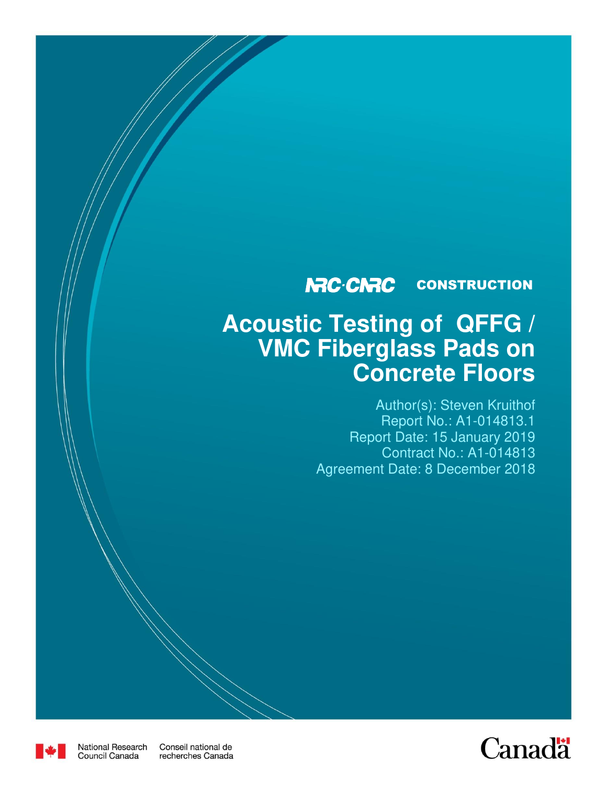## **NRC-CNRC CONSTRUCTION**

# **Acoustic Testing of QFFG / VMC Fiberglass Pads on Concrete Floors**

Author(s): Steven Kruithof Report No.: A1-014813.1 Report Date: 15 January 2019 Contract No.: A1-014813 Agreement Date: 8 December 2018



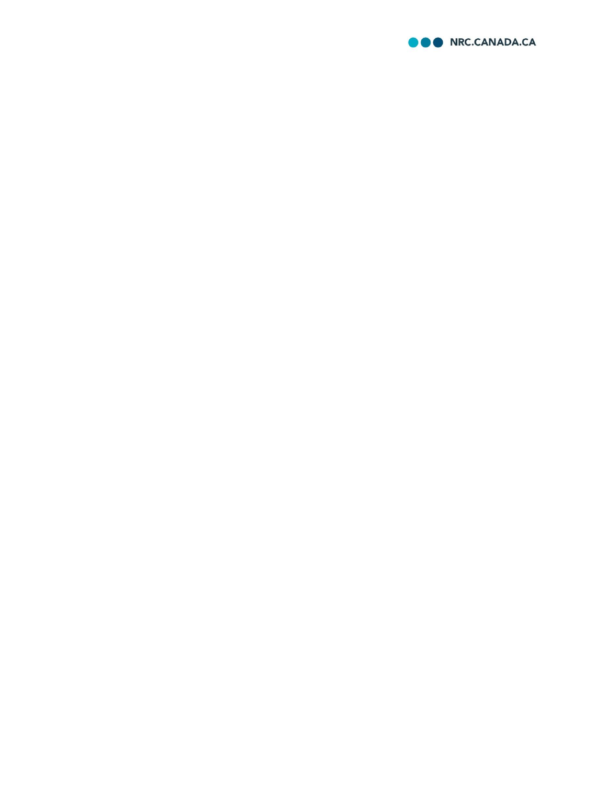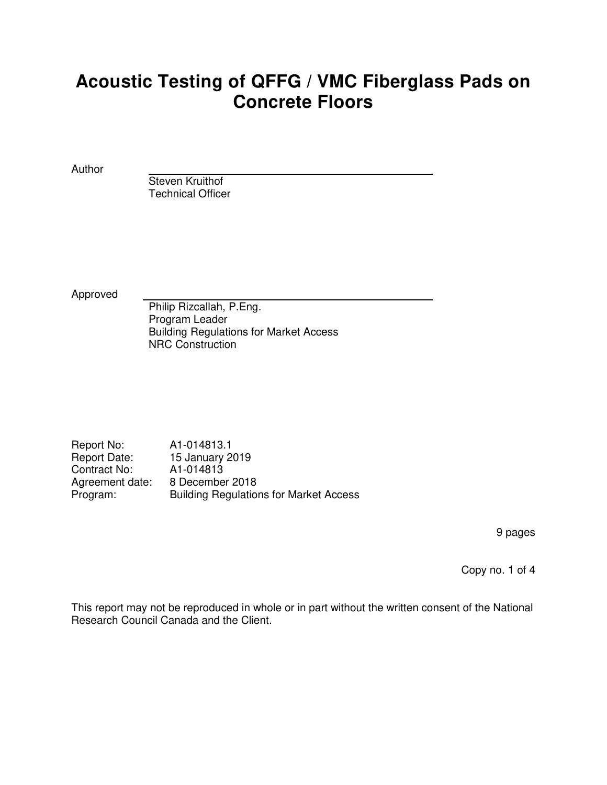## **Acoustic Testing of QFFG / VMC Fiberglass Pads on Concrete Floors**

Author

 Steven Kruithof Technical Officer

Approved

 Philip Rizcallah, P.Eng. Program Leader Building Regulations for Market Access NRC Construction

Report No: A1-014813.1 Report Date: 15 January 2019<br>Contract No: 41-014813 Contract No: Agreement date: 8 December 2018 Program: Building Regulations for Market Access

9 pages

Copy no. 1 of 4

This report may not be reproduced in whole or in part without the written consent of the National Research Council Canada and the Client.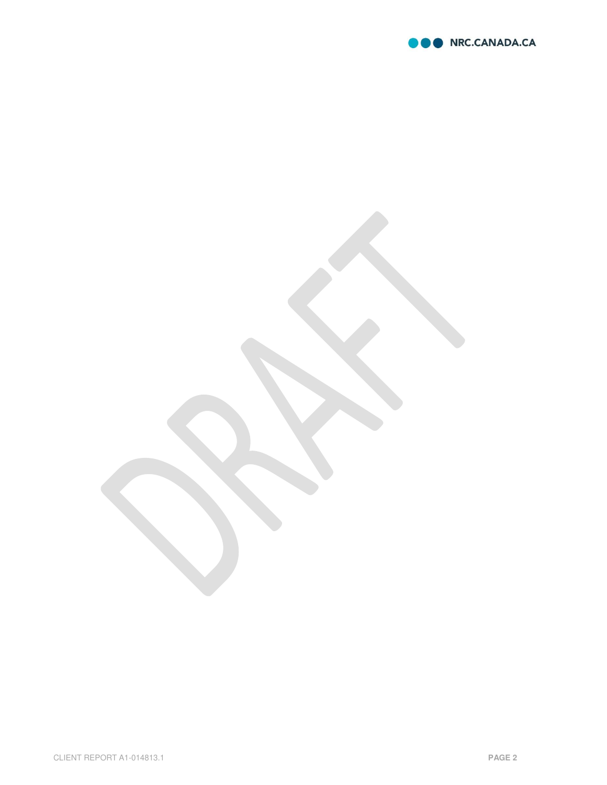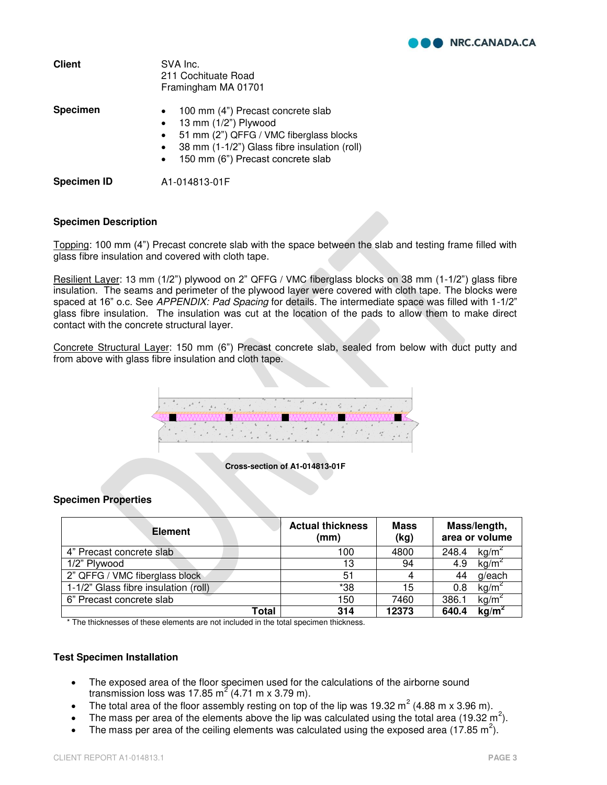

| <b>Client</b>   | SVA Inc.<br>211 Cochituate Road<br>Framingham MA 01701                                                                                                                                                                                                     |  |  |  |
|-----------------|------------------------------------------------------------------------------------------------------------------------------------------------------------------------------------------------------------------------------------------------------------|--|--|--|
| <b>Specimen</b> | 100 mm (4") Precast concrete slab<br>$\bullet$<br>13 mm (1/2") Plywood<br>$\bullet$<br>51 mm (2") QFFG / VMC fiberglass blocks<br>$\bullet$<br>38 mm (1-1/2") Glass fibre insulation (roll)<br>$\bullet$<br>150 mm (6") Precast concrete slab<br>$\bullet$ |  |  |  |
| Specimen ID     | A1-014813-01F                                                                                                                                                                                                                                              |  |  |  |

## **Specimen Description**

Topping: 100 mm (4") Precast concrete slab with the space between the slab and testing frame filled with glass fibre insulation and covered with cloth tape.

Resilient Layer: 13 mm (1/2") plywood on 2" QFFG / VMC fiberglass blocks on 38 mm (1-1/2") glass fibre insulation. The seams and perimeter of the plywood layer were covered with cloth tape. The blocks were spaced at 16" o.c. See *APPENDIX: Pad Spacing* for details. The intermediate space was filled with 1-1/2" glass fibre insulation. The insulation was cut at the location of the pads to allow them to make direct contact with the concrete structural layer.

Concrete Structural Layer: 150 mm (6") Precast concrete slab, sealed from below with duct putty and from above with glass fibre insulation and cloth tape.



**Cross-section of A1-014813-01F**

## **Specimen Properties**

| <b>Element</b>                       | <b>Actual thickness</b><br>(mm) | <b>Mass</b><br>(kg) | Mass/length,<br>area or volume |
|--------------------------------------|---------------------------------|---------------------|--------------------------------|
| 4" Precast concrete slab             | 100                             | 4800                | kg/m <sup>2</sup><br>248.4     |
| 1/2" Plywood                         | 13                              | 94                  | kg/m <sup>2</sup><br>4.9       |
| 2" QFFG / VMC fiberglass block       | 51                              |                     | $g$ /each<br>44                |
| 1-1/2" Glass fibre insulation (roll) | $*38$                           | 15                  | kg/m <sup>2</sup><br>0.8       |
| 6" Precast concrete slab             | 150                             | 7460                | 386.1<br>kg/m <sup>2</sup>     |
| Total                                | 314                             | 12373               | kg/m<br>640.4                  |

\* The thicknesses of these elements are not included in the total specimen thickness.

## **Test Specimen Installation**

- The exposed area of the floor specimen used for the calculations of the airborne sound transmission loss was 17.85 m<sup>2</sup> (4.71 m x 3.79 m).
- The total area of the floor assembly resting on top of the lip was 19.32  $m^2$  (4.88 m x 3.96 m).
- The mass per area of the elements above the lip was calculated using the total area (19.32 m<sup>2</sup>).
- The mass per area of the ceiling elements was calculated using the exposed area (17.85 m<sup>2</sup>).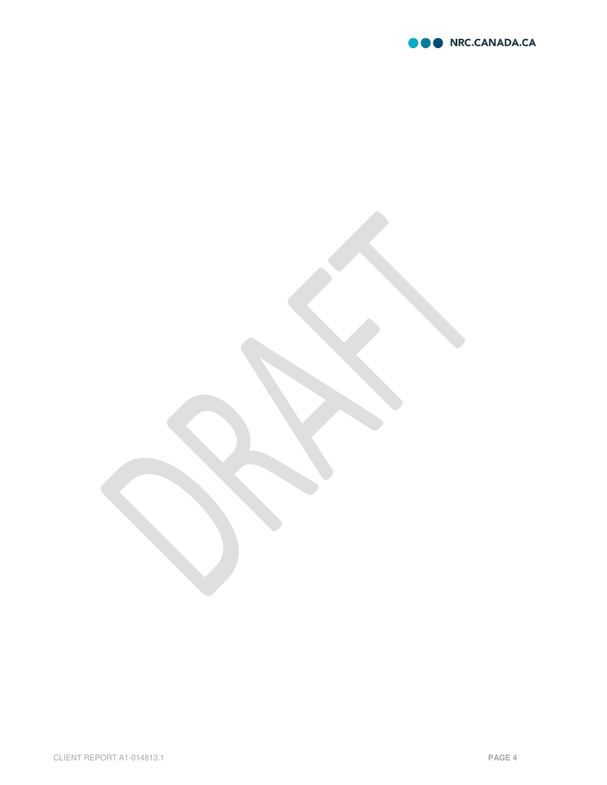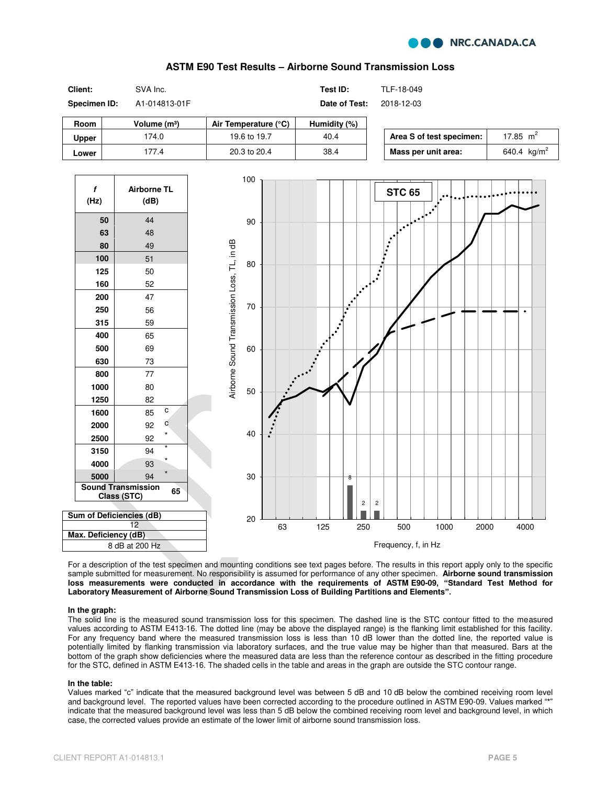

## **ASTM E90 Test Results – Airborne Sound Transmission Loss**

| Client:      | SVA Inc.       |                      | Test ID:      | TLF-18-049               |         |
|--------------|----------------|----------------------|---------------|--------------------------|---------|
| Specimen ID: | A1-014813-01F  |                      | Date of Test: | 2018-12-03               |         |
| Room         | Volume $(m^3)$ | Air Temperature (°C) | Humidity (%)  |                          |         |
| Upper        | 174.0          | 19.6 to 19.7         | 40.4          | Area S of test specimen: | 17.85 m |
|              |                |                      |               |                          |         |

|       | $V$ vidility will be | ALL IGHTOGRAPH (OT | 114111141LV L /V/ |                          |               |
|-------|----------------------|--------------------|-------------------|--------------------------|---------------|
| Upper | 74.0                 | 19.6 to 19.7       | 40.4              | Area S of test specimen: | 17.85<br>m    |
| Lower | $\sqrt{.4}$          | 20.3 to 20.4       | 38.4              | Mass per unit area:      | 640.4<br>ka/m |



For a description of the test specimen and mounting conditions see text pages before. The results in this report apply only to the specific sample submitted for measurement. No responsibility is assumed for performance of any other specimen. **Airborne sound transmission loss measurements were conducted in accordance with the requirements of ASTM E90-09, "Standard Test Method for Laboratory Measurement of Airborne Sound Transmission Loss of Building Partitions and Elements".**

#### **In the graph:**

The solid line is the measured sound transmission loss for this specimen. The dashed line is the STC contour fitted to the measured values according to ASTM E413-16. The dotted line (may be above the displayed range) is the flanking limit established for this facility. For any frequency band where the measured transmission loss is less than 10 dB lower than the dotted line, the reported value is potentially limited by flanking transmission via laboratory surfaces, and the true value may be higher than that measured. Bars at the bottom of the graph show deficiencies where the measured data are less than the reference contour as described in the fitting procedure for the STC, defined in ASTM E413-16. The shaded cells in the table and areas in the graph are outside the STC contour range.

#### **In the table:**

Values marked "c" indicate that the measured background level was between 5 dB and 10 dB below the combined receiving room level and background level. The reported values have been corrected according to the procedure outlined in ASTM E90-09. Values marked " indicate that the measured background level was less than 5 dB below the combined receiving room level and background level, in which case, the corrected values provide an estimate of the lower limit of airborne sound transmission loss.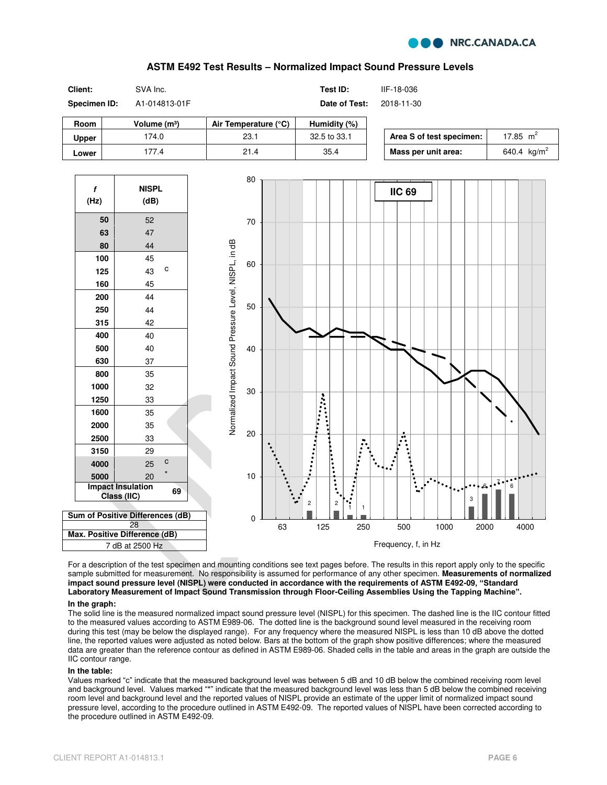

### **ASTM E492 Test Results – Normalized Impact Sound Pressure Levels**

| Client:<br>Specimen ID: | SVA Inc.<br>A1-014813-01F       |                      | Test ID:<br>Date of Test: | IIF-18-036<br>2018-11-30 |                |
|-------------------------|---------------------------------|----------------------|---------------------------|--------------------------|----------------|
| Room                    | Volume (m <sup>3</sup> )        | Air Temperature (°C) | Humidity (%)              |                          |                |
| <b>Upper</b>            | 174.0                           | 23.1                 | 32.5 to 33.1              | Area S of test specimen: | 17.85 $m2$     |
| Lower                   | 177.4                           | 21.4                 | 35.4                      | Mass per unit area:      | 640.4 $kg/m^2$ |
| / LI -> \               | <b>NISPL</b><br>AD <sub>1</sub> | 80                   |                           | <b>IIC 69</b>            |                |



For a description of the test specimen and mounting conditions see text pages before. The results in this report apply only to the specific sample submitted for measurement. No responsibility is assumed for performance of any other specimen. **Measurements of normalized impact sound pressure level (NISPL) were conducted in accordance with the requirements of ASTM E492-09, "Standard Laboratory Measurement of Impact Sound Transmission through Floor-Ceiling Assemblies Using the Tapping Machine".** 

#### **In the graph:**

The solid line is the measured normalized impact sound pressure level (NISPL) for this specimen. The dashed line is the IIC contour fitted to the measured values according to ASTM E989-06. The dotted line is the background sound level measured in the receiving room during this test (may be below the displayed range). For any frequency where the measured NISPL is less than 10 dB above the dotted line, the reported values were adjusted as noted below. Bars at the bottom of the graph show positive differences; where the measured data are greater than the reference contour as defined in ASTM E989-06. Shaded cells in the table and areas in the graph are outside the IIC contour range.

#### **In the table:**

Values marked "c" indicate that the measured background level was between 5 dB and 10 dB below the combined receiving room level and background level. Values marked "\*" indicate that the measured background level was less than 5 dB below the combined receiving room level and background level and the reported values of NISPL provide an estimate of the upper limit of normalized impact sound pressure level, according to the procedure outlined in ASTM E492-09. The reported values of NISPL have been corrected according to the procedure outlined in ASTM E492-09.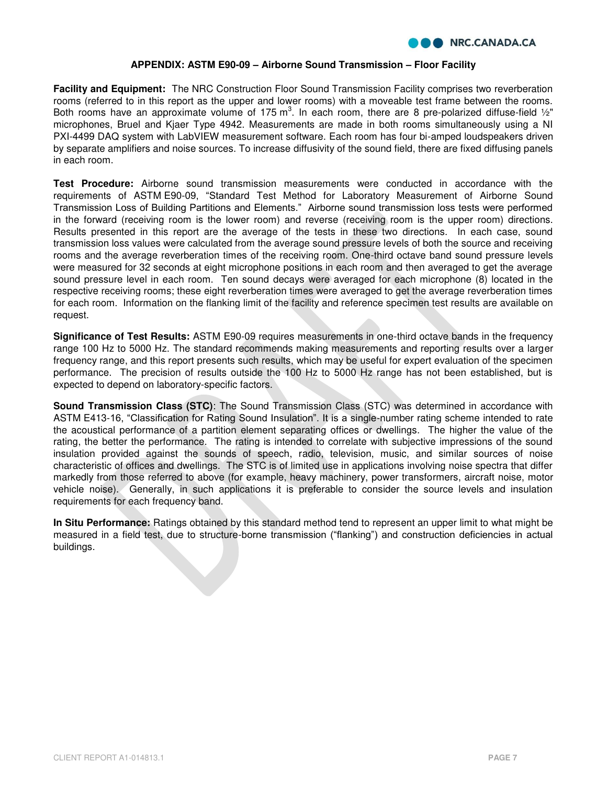

## **APPENDIX: ASTM E90-09 – Airborne Sound Transmission – Floor Facility**

**Facility and Equipment:** The NRC Construction Floor Sound Transmission Facility comprises two reverberation rooms (referred to in this report as the upper and lower rooms) with a moveable test frame between the rooms. Both rooms have an approximate volume of 175 m<sup>3</sup>. In each room, there are 8 pre-polarized diffuse-field  $1/2$ " microphones, Bruel and Kjaer Type 4942. Measurements are made in both rooms simultaneously using a NI PXI-4499 DAQ system with LabVIEW measurement software. Each room has four bi-amped loudspeakers driven by separate amplifiers and noise sources. To increase diffusivity of the sound field, there are fixed diffusing panels in each room.

**Test Procedure:** Airborne sound transmission measurements were conducted in accordance with the requirements of ASTM E90-09, "Standard Test Method for Laboratory Measurement of Airborne Sound Transmission Loss of Building Partitions and Elements." Airborne sound transmission loss tests were performed in the forward (receiving room is the lower room) and reverse (receiving room is the upper room) directions. Results presented in this report are the average of the tests in these two directions. In each case, sound transmission loss values were calculated from the average sound pressure levels of both the source and receiving rooms and the average reverberation times of the receiving room. One-third octave band sound pressure levels were measured for 32 seconds at eight microphone positions in each room and then averaged to get the average sound pressure level in each room. Ten sound decays were averaged for each microphone (8) located in the respective receiving rooms; these eight reverberation times were averaged to get the average reverberation times for each room. Information on the flanking limit of the facility and reference specimen test results are available on request.

**Significance of Test Results:** ASTM E90-09 requires measurements in one-third octave bands in the frequency range 100 Hz to 5000 Hz. The standard recommends making measurements and reporting results over a larger frequency range, and this report presents such results, which may be useful for expert evaluation of the specimen performance. The precision of results outside the 100 Hz to 5000 Hz range has not been established, but is expected to depend on laboratory-specific factors.

**Sound Transmission Class (STC)**: The Sound Transmission Class (STC) was determined in accordance with ASTM E413-16, "Classification for Rating Sound Insulation". It is a single-number rating scheme intended to rate the acoustical performance of a partition element separating offices or dwellings. The higher the value of the rating, the better the performance. The rating is intended to correlate with subjective impressions of the sound insulation provided against the sounds of speech, radio, television, music, and similar sources of noise characteristic of offices and dwellings. The STC is of limited use in applications involving noise spectra that differ markedly from those referred to above (for example, heavy machinery, power transformers, aircraft noise, motor vehicle noise). Generally, in such applications it is preferable to consider the source levels and insulation requirements for each frequency band.

**In Situ Performance:** Ratings obtained by this standard method tend to represent an upper limit to what might be measured in a field test, due to structure-borne transmission ("flanking") and construction deficiencies in actual buildings.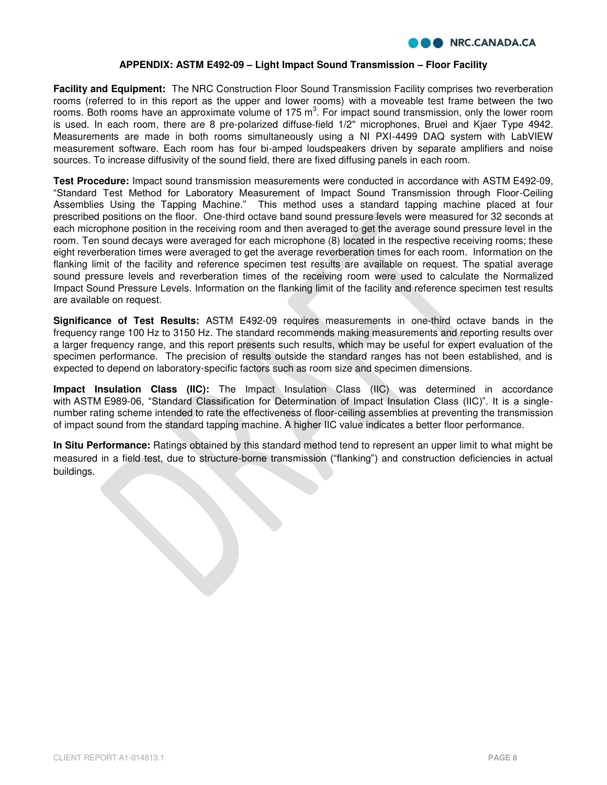

## **APPENDIX: ASTM E492-09 – Light Impact Sound Transmission – Floor Facility**

**Facility and Equipment:** The NRC Construction Floor Sound Transmission Facility comprises two reverberation rooms (referred to in this report as the upper and lower rooms) with a moveable test frame between the two rooms. Both rooms have an approximate volume of 175 m<sup>3</sup>. For impact sound transmission, only the lower room is used. In each room, there are 8 pre-polarized diffuse-field 1/2" microphones, Bruel and Kjaer Type 4942. Measurements are made in both rooms simultaneously using a NI PXI-4499 DAQ system with LabVIEW measurement software. Each room has four bi-amped loudspeakers driven by separate amplifiers and noise sources. To increase diffusivity of the sound field, there are fixed diffusing panels in each room.

**Test Procedure:** Impact sound transmission measurements were conducted in accordance with ASTM E492-09, "Standard Test Method for Laboratory Measurement of Impact Sound Transmission through Floor-Ceiling Assemblies Using the Tapping Machine." This method uses a standard tapping machine placed at four prescribed positions on the floor. One-third octave band sound pressure levels were measured for 32 seconds at each microphone position in the receiving room and then averaged to get the average sound pressure level in the room. Ten sound decays were averaged for each microphone (8) located in the respective receiving rooms; these eight reverberation times were averaged to get the average reverberation times for each room. Information on the flanking limit of the facility and reference specimen test results are available on request. The spatial average sound pressure levels and reverberation times of the receiving room were used to calculate the Normalized Impact Sound Pressure Levels. Information on the flanking limit of the facility and reference specimen test results are available on request.

**Significance of Test Results:** ASTM E492-09 requires measurements in one-third octave bands in the frequency range 100 Hz to 3150 Hz. The standard recommends making measurements and reporting results over a larger frequency range, and this report presents such results, which may be useful for expert evaluation of the specimen performance. The precision of results outside the standard ranges has not been established, and is expected to depend on laboratory-specific factors such as room size and specimen dimensions.

**Impact Insulation Class (IIC):** The Impact Insulation Class (IIC) was determined in accordance with ASTM E989-06, "Standard Classification for Determination of Impact Insulation Class (IIC)". It is a singlenumber rating scheme intended to rate the effectiveness of floor-ceiling assemblies at preventing the transmission of impact sound from the standard tapping machine. A higher IIC value indicates a better floor performance.

**In Situ Performance:** Ratings obtained by this standard method tend to represent an upper limit to what might be measured in a field test, due to structure-borne transmission ("flanking") and construction deficiencies in actual buildings.